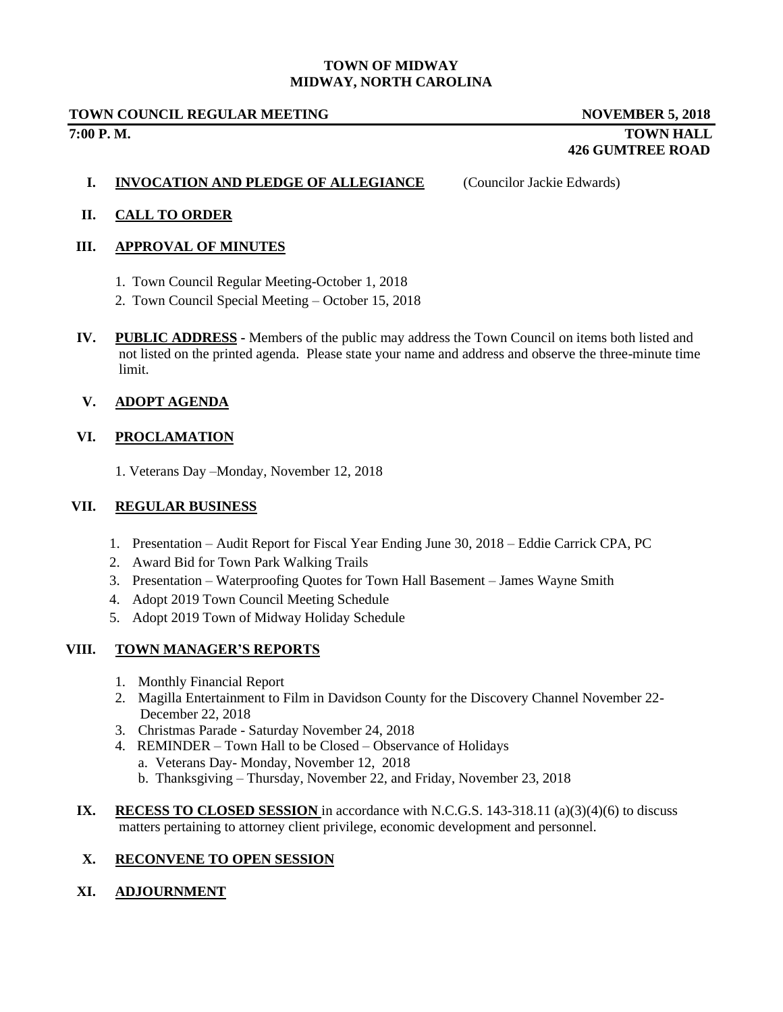#### **TOWN OF MIDWAY MIDWAY, NORTH CAROLINA**

#### **TOWN COUNCIL REGULAR MEETING NOVEMBER 5, 2018 7:00 P. M. TOWN HALL**

# **426 GUMTREE ROAD**

#### **I. INVOCATION AND PLEDGE OF ALLEGIANCE** (Councilor Jackie Edwards)

## **II. CALL TO ORDER**

## **III. APPROVAL OF MINUTES**

- 1. Town Council Regular Meeting-October 1, 2018
- 2. Town Council Special Meeting October 15, 2018
- **IV. PUBLIC ADDRESS -** Members of the public may address the Town Council on items both listed and not listed on the printed agenda. Please state your name and address and observe the three-minute time limit.

## **V. ADOPT AGENDA**

## **VI. PROCLAMATION**

1. Veterans Day –Monday, November 12, 2018

#### **VII. REGULAR BUSINESS**

- 1. Presentation Audit Report for Fiscal Year Ending June 30, 2018 Eddie Carrick CPA, PC
- 2. Award Bid for Town Park Walking Trails
- 3. Presentation Waterproofing Quotes for Town Hall Basement James Wayne Smith
- 4. Adopt 2019 Town Council Meeting Schedule
- 5. Adopt 2019 Town of Midway Holiday Schedule

## **VIII. TOWN MANAGER'S REPORTS**

- 1. Monthly Financial Report
- 2. Magilla Entertainment to Film in Davidson County for the Discovery Channel November 22- December 22, 2018
- 3. Christmas Parade Saturday November 24, 2018
- 4. REMINDER Town Hall to be Closed Observance of Holidays
	- a. Veterans Day- Monday, November 12, 2018
	- b. Thanksgiving Thursday, November 22, and Friday, November 23, 2018
- **IX. RECESS TO CLOSED SESSION** in accordance with N.C.G.S.  $143-318.11$  (a)(3)(4)(6) to discuss matters pertaining to attorney client privilege, economic development and personnel.

## **X. RECONVENE TO OPEN SESSION**

## **XI. ADJOURNMENT**